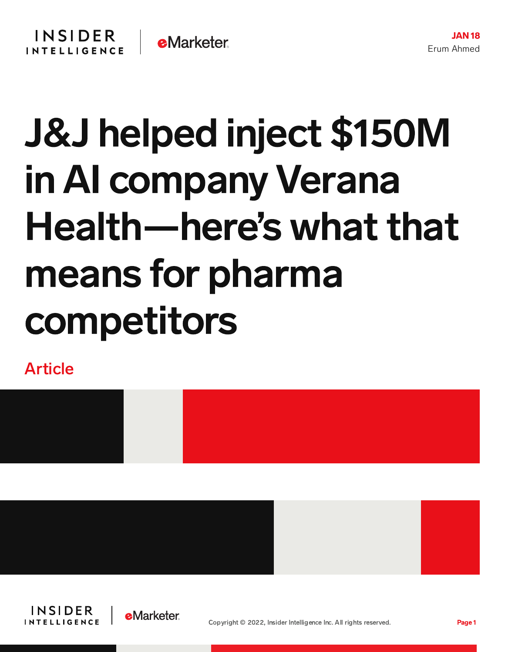## J&J helped inject \$150M in AI company Verana Health—here's what that means for pharma competitors

Article







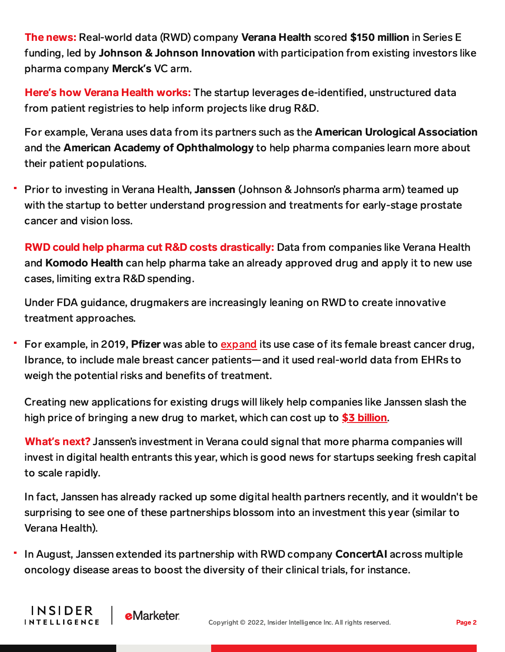The news: Real-world data (RWD) company Verana Health scored \$150 million in Series E funding, led by Johnson & Johnson Innovation with participation from existing investors like pharma company Merck**'**s VC arm.

Here**'**s how Verana Health works: The startup leverages de-identified, unstructured data from patient registries to help inform projects like drug R&D.

For example, Verana uses data from its partners such as the American Urological Association and the **American Academy of Ophthalmology** to help pharma companies learn more about their patient populations.

Prior to investing in Verana Health, Janssen (Johnson & Johnson's pharma arm) teamed up with the startup to better understand progression and treatments for early-stage prostate cancer and vision loss.

RWD could help pharma cut R&D costs drastically: Data from companies like Verana Health and Komodo Health can help pharma take an already approved drug and apply it to new use cases, limiting extra R&D spending.

Under FDA guidance, drugmakers are increasingly leaning on RWD to create innovative treatment approaches.

For example, in 2019, Pfizer was able to [expand](https://www.raps.org/news-and-articles/news-articles/2019/4/pfizer-uses-ehr-data-to-support-expanded-indicatio) its use case of its female breast cancer drug, Ibrance, to include male breast cancer patients—and it used real-world data from EHRs to weigh the potential risks and benefits of treatment.

Creating new applications for existing drugs will likely help companies like Janssen slash the high price of bringing a new drug to market, which can cost up to  $$3$  [billion](https://content-na1.emarketer.com/ai-drug-discovery-development).

What**'**s next? Janssen's investment in Verana could signal that more pharma companies will invest in digital health entrants this year, which is good news for startups seeking fresh capital to scale rapidly.

In fact, Janssen has already racked up some digital health partners recently, and it wouldn't be surprising to see one of these partnerships blossom into an investment this year (similar to Verana Health).

In August, Janssen extended its partnership with RWD company ConcertAI across multiple oncology disease areas to boost the diversity of their clinical trials, for instance.